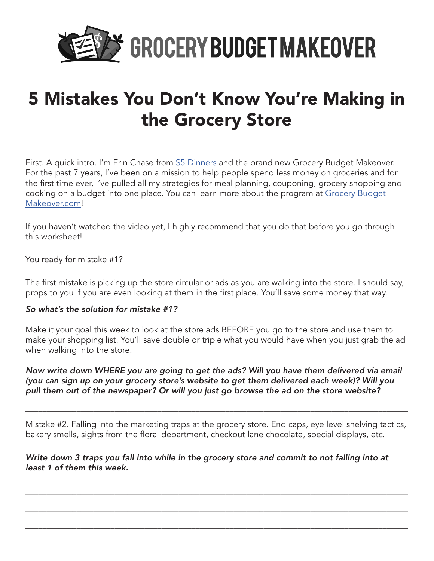

## 5 Mistakes You Don't Know You're Making in the Grocery Store

First. A quick intro. I'm Erin Chase from [\\$5 Dinners](http://www.5dollardinners.com) and the brand new Grocery Budget Makeover. For the past 7 years, I've been on a mission to help people spend less money on groceries and for the first time ever, I've pulled all my strategies for meal planning, couponing, grocery shopping and cooking on a budget into one place. You can learn more about the program at Grocery Budget [Makeover.](http://www.grocerybudgetmakeover.com)com!

If you haven't watched the video yet, I highly recommend that you do that before you go through this worksheet!

You ready for mistake #1?

The first mistake is picking up the store circular or ads as you are walking into the store. I should say, props to you if you are even looking at them in the first place. You'll save some money that way.

#### *So what's the solution for mistake #1?*

Make it your goal this week to look at the store ads BEFORE you go to the store and use them to make your shopping list. You'll save double or triple what you would have when you just grab the ad when walking into the store.

### *Now write down WHERE you are going to get the ads? Will you have them delivered via email (you can sign up on your grocery store's website to get them delivered each week)? Will you pull them out of the newspaper? Or will you just go browse the ad on the store website?*

Mistake #2. Falling into the marketing traps at the grocery store. End caps, eye level shelving tactics, bakery smells, sights from the floral department, checkout lane chocolate, special displays, etc.

\_\_\_\_\_\_\_\_\_\_\_\_\_\_\_\_\_\_\_\_\_\_\_\_\_\_\_\_\_\_\_\_\_\_\_\_\_\_\_\_\_\_\_\_\_\_\_\_\_\_\_\_\_\_\_\_\_\_\_\_\_\_\_\_\_\_\_\_\_\_\_\_\_\_\_\_\_\_\_\_\_\_\_\_\_\_\_\_\_\_

\_\_\_\_\_\_\_\_\_\_\_\_\_\_\_\_\_\_\_\_\_\_\_\_\_\_\_\_\_\_\_\_\_\_\_\_\_\_\_\_\_\_\_\_\_\_\_\_\_\_\_\_\_\_\_\_\_\_\_\_\_\_\_\_\_\_\_\_\_\_\_\_\_\_\_\_\_\_\_\_\_\_\_\_\_\_\_\_\_\_

\_\_\_\_\_\_\_\_\_\_\_\_\_\_\_\_\_\_\_\_\_\_\_\_\_\_\_\_\_\_\_\_\_\_\_\_\_\_\_\_\_\_\_\_\_\_\_\_\_\_\_\_\_\_\_\_\_\_\_\_\_\_\_\_\_\_\_\_\_\_\_\_\_\_\_\_\_\_\_\_\_\_\_\_\_\_\_\_\_\_

\_\_\_\_\_\_\_\_\_\_\_\_\_\_\_\_\_\_\_\_\_\_\_\_\_\_\_\_\_\_\_\_\_\_\_\_\_\_\_\_\_\_\_\_\_\_\_\_\_\_\_\_\_\_\_\_\_\_\_\_\_\_\_\_\_\_\_\_\_\_\_\_\_\_\_\_\_\_\_\_\_\_\_\_\_\_\_\_\_\_

### *Write down 3 traps you fall into while in the grocery store and commit to not falling into at least 1 of them this week.*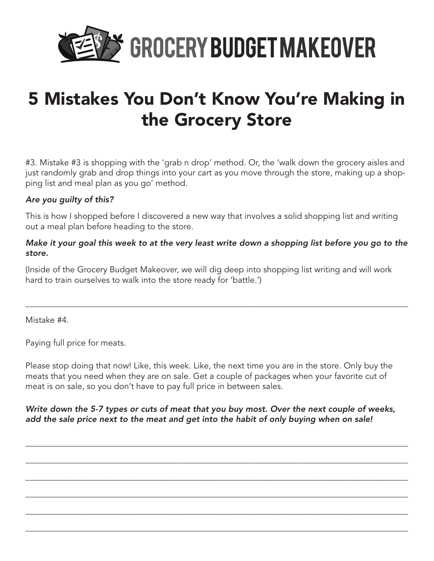

## 5 Mistakes You Don't Know You're Making in the Grocery Store

#3. Mistake #3 is shopping with the 'grab n drop' method. Or, the 'walk down the grocery aisles and just randomly grab and drop things into your cart as you move through the store, making up a shopping list and meal plan as you go' method.

### *Are you guilty of this?*

This is how I shopped before I discovered a new way that involves a solid shopping list and writing out a meal plan before heading to the store.

### *Make it your goal this week to at the very least write down a shopping list before you go to the store.*

\_\_\_\_\_\_\_\_\_\_\_\_\_\_\_\_\_\_\_\_\_\_\_\_\_\_\_\_\_\_\_\_\_\_\_\_\_\_\_\_\_\_\_\_\_\_\_\_\_\_\_\_\_\_\_\_\_\_\_\_\_\_\_\_\_\_\_\_\_\_\_\_\_\_\_\_\_\_\_\_\_\_\_\_\_\_\_\_\_\_

(Inside of the Grocery Budget Makeover, we will dig deep into shopping list writing and will work hard to train ourselves to walk into the store ready for 'battle.')

Mistake #4.

Paying full price for meats.

Please stop doing that now! Like, this week. Like, the next time you are in the store. Only buy the meats that you need when they are on sale. Get a couple of packages when your favorite cut of meat is on sale, so you don't have to pay full price in between sales.

*Write down the 5-7 types or cuts of meat that you buy most. Over the next couple of weeks, add the sale price next to the meat and get into the habit of only buying when on sale!* 

\_\_\_\_\_\_\_\_\_\_\_\_\_\_\_\_\_\_\_\_\_\_\_\_\_\_\_\_\_\_\_\_\_\_\_\_\_\_\_\_\_\_\_\_\_\_\_\_\_\_\_\_\_\_\_\_\_\_\_\_\_\_\_\_\_\_\_\_\_\_\_\_\_\_\_\_\_\_\_\_\_\_\_\_\_\_\_\_\_\_

\_\_\_\_\_\_\_\_\_\_\_\_\_\_\_\_\_\_\_\_\_\_\_\_\_\_\_\_\_\_\_\_\_\_\_\_\_\_\_\_\_\_\_\_\_\_\_\_\_\_\_\_\_\_\_\_\_\_\_\_\_\_\_\_\_\_\_\_\_\_\_\_\_\_\_\_\_\_\_\_\_\_\_\_\_\_\_\_\_\_

\_\_\_\_\_\_\_\_\_\_\_\_\_\_\_\_\_\_\_\_\_\_\_\_\_\_\_\_\_\_\_\_\_\_\_\_\_\_\_\_\_\_\_\_\_\_\_\_\_\_\_\_\_\_\_\_\_\_\_\_\_\_\_\_\_\_\_\_\_\_\_\_\_\_\_\_\_\_\_\_\_\_\_\_\_\_\_\_\_\_

\_\_\_\_\_\_\_\_\_\_\_\_\_\_\_\_\_\_\_\_\_\_\_\_\_\_\_\_\_\_\_\_\_\_\_\_\_\_\_\_\_\_\_\_\_\_\_\_\_\_\_\_\_\_\_\_\_\_\_\_\_\_\_\_\_\_\_\_\_\_\_\_\_\_\_\_\_\_\_\_\_\_\_\_\_\_\_\_\_\_

\_\_\_\_\_\_\_\_\_\_\_\_\_\_\_\_\_\_\_\_\_\_\_\_\_\_\_\_\_\_\_\_\_\_\_\_\_\_\_\_\_\_\_\_\_\_\_\_\_\_\_\_\_\_\_\_\_\_\_\_\_\_\_\_\_\_\_\_\_\_\_\_\_\_\_\_\_\_\_\_\_\_\_\_\_\_\_\_\_\_

\_\_\_\_\_\_\_\_\_\_\_\_\_\_\_\_\_\_\_\_\_\_\_\_\_\_\_\_\_\_\_\_\_\_\_\_\_\_\_\_\_\_\_\_\_\_\_\_\_\_\_\_\_\_\_\_\_\_\_\_\_\_\_\_\_\_\_\_\_\_\_\_\_\_\_\_\_\_\_\_\_\_\_\_\_\_\_\_\_\_